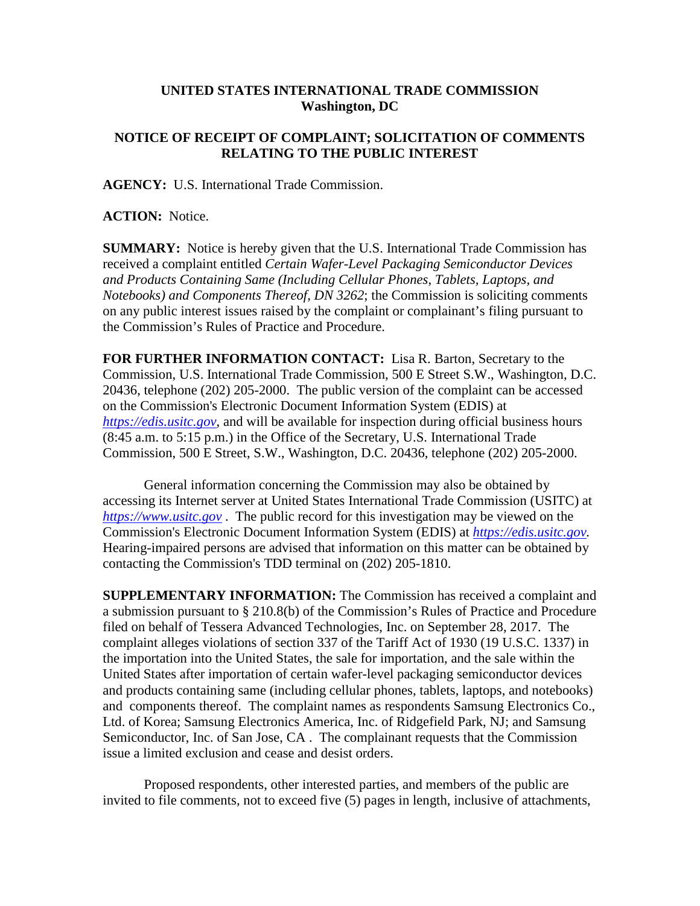## **UNITED STATES INTERNATIONAL TRADE COMMISSION Washington, DC**

## **NOTICE OF RECEIPT OF COMPLAINT; SOLICITATION OF COMMENTS RELATING TO THE PUBLIC INTEREST**

**AGENCY:** U.S. International Trade Commission.

**ACTION:** Notice.

**SUMMARY:** Notice is hereby given that the U.S. International Trade Commission has received a complaint entitled *Certain Wafer-Level Packaging Semiconductor Devices and Products Containing Same (Including Cellular Phones, Tablets, Laptops, and Notebooks) and Components Thereof, DN 3262*; the Commission is soliciting comments on any public interest issues raised by the complaint or complainant's filing pursuant to the Commission's Rules of Practice and Procedure.

**FOR FURTHER INFORMATION CONTACT:** Lisa R. Barton, Secretary to the Commission, U.S. International Trade Commission, 500 E Street S.W., Washington, D.C. 20436, telephone (202) 205-2000. The public version of the complaint can be accessed on the Commission's Electronic Document Information System (EDIS) at *[https://edis.usitc.gov](https://edis.usitc.gov/)*, and will be available for inspection during official business hours (8:45 a.m. to 5:15 p.m.) in the Office of the Secretary, U.S. International Trade Commission, 500 E Street, S.W., Washington, D.C. 20436, telephone (202) 205-2000.

General information concerning the Commission may also be obtained by accessing its Internet server at United States International Trade Commission (USITC) at *[https://www.usitc.gov](https://www.usitc.gov/)* . The public record for this investigation may be viewed on the Commission's Electronic Document Information System (EDIS) at *[https://edis.usitc.gov.](https://edis.usitc.gov/)* Hearing-impaired persons are advised that information on this matter can be obtained by contacting the Commission's TDD terminal on (202) 205-1810.

**SUPPLEMENTARY INFORMATION:** The Commission has received a complaint and a submission pursuant to § 210.8(b) of the Commission's Rules of Practice and Procedure filed on behalf of Tessera Advanced Technologies, Inc. on September 28, 2017. The complaint alleges violations of section 337 of the Tariff Act of 1930 (19 U.S.C. 1337) in the importation into the United States, the sale for importation, and the sale within the United States after importation of certain wafer-level packaging semiconductor devices and products containing same (including cellular phones, tablets, laptops, and notebooks) and components thereof. The complaint names as respondents Samsung Electronics Co., Ltd. of Korea; Samsung Electronics America, Inc. of Ridgefield Park, NJ; and Samsung Semiconductor, Inc. of San Jose, CA . The complainant requests that the Commission issue a limited exclusion and cease and desist orders.

Proposed respondents, other interested parties, and members of the public are invited to file comments, not to exceed five (5) pages in length, inclusive of attachments,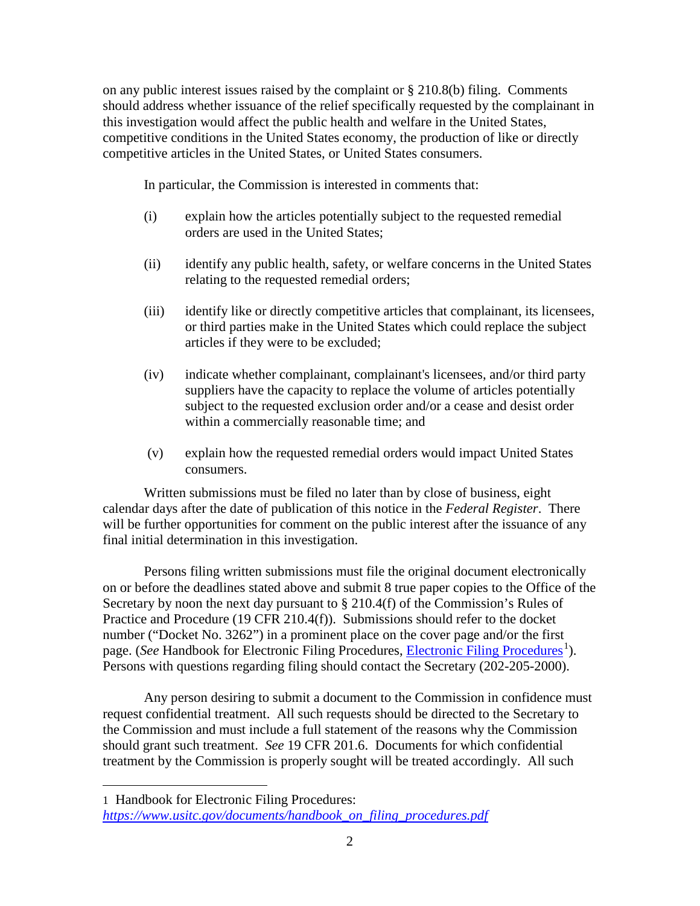on any public interest issues raised by the complaint or § 210.8(b) filing. Comments should address whether issuance of the relief specifically requested by the complainant in this investigation would affect the public health and welfare in the United States, competitive conditions in the United States economy, the production of like or directly competitive articles in the United States, or United States consumers.

In particular, the Commission is interested in comments that:

- (i) explain how the articles potentially subject to the requested remedial orders are used in the United States;
- (ii) identify any public health, safety, or welfare concerns in the United States relating to the requested remedial orders;
- (iii) identify like or directly competitive articles that complainant, its licensees, or third parties make in the United States which could replace the subject articles if they were to be excluded;
- (iv) indicate whether complainant, complainant's licensees, and/or third party suppliers have the capacity to replace the volume of articles potentially subject to the requested exclusion order and/or a cease and desist order within a commercially reasonable time; and
- (v) explain how the requested remedial orders would impact United States consumers.

Written submissions must be filed no later than by close of business, eight calendar days after the date of publication of this notice in the *Federal Register*. There will be further opportunities for comment on the public interest after the issuance of any final initial determination in this investigation.

Persons filing written submissions must file the original document electronically on or before the deadlines stated above and submit 8 true paper copies to the Office of the Secretary by noon the next day pursuant to  $\S 210.4(f)$  of the Commission's Rules of Practice and Procedure (19 CFR 210.4(f)). Submissions should refer to the docket number ("Docket No. 3262") in a prominent place on the cover page and/or the first page. (*See* Handbook for [Electronic Filing Procedures](https://www.usitc.gov/documents/handbook_on_filing_procedures.pdf), *Electronic Filing Procedures*<sup>[1](#page-1-0)</sup>). Persons with questions regarding filing should contact the Secretary (202-205-2000).

Any person desiring to submit a document to the Commission in confidence must request confidential treatment. All such requests should be directed to the Secretary to the Commission and must include a full statement of the reasons why the Commission should grant such treatment. *See* 19 CFR 201.6. Documents for which confidential treatment by the Commission is properly sought will be treated accordingly. All such

 $\overline{a}$ 

<span id="page-1-0"></span><sup>1</sup> Handbook for Electronic Filing Procedures: *[https://www.usitc.gov/documents/handbook\\_on\\_filing\\_procedures.pdf](https://www.usitc.gov/documents/handbook_on_filing_procedures.pdf)*